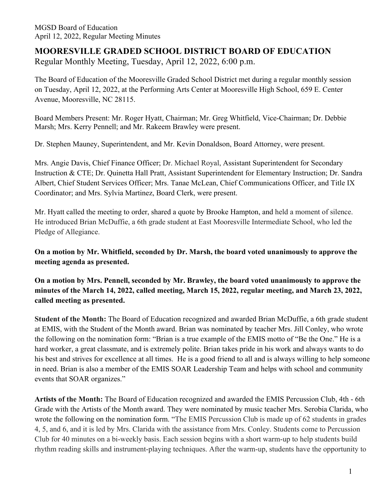# **MOORESVILLE GRADED SCHOOL DISTRICT BOARD OF EDUCATION** Regular Monthly Meeting, Tuesday, April 12, 2022, 6:00 p.m.

The Board of Education of the Mooresville Graded School District met during a regular monthly session on Tuesday, April 12, 2022, at the Performing Arts Center at Mooresville High School, 659 E. Center Avenue, Mooresville, NC 28115.

Board Members Present: Mr. Roger Hyatt, Chairman; Mr. Greg Whitfield, Vice-Chairman; Dr. Debbie Marsh; Mrs. Kerry Pennell; and Mr. Rakeem Brawley were present.

Dr. Stephen Mauney, Superintendent, and Mr. Kevin Donaldson, Board Attorney, were present.

Mrs. Angie Davis, Chief Finance Officer; Dr. Michael Royal, Assistant Superintendent for Secondary Instruction & CTE; Dr. Quinetta Hall Pratt, Assistant Superintendent for Elementary Instruction; Dr. Sandra Albert, Chief Student Services Officer; Mrs. Tanae McLean, Chief Communications Officer, and Title IX Coordinator; and Mrs. Sylvia Martinez, Board Clerk, were present.

Mr. Hyatt called the meeting to order, shared a quote by Brooke Hampton, and held a moment of silence. He introduced Brian McDuffie, a 6th grade student at East Mooresville Intermediate School, who led the Pledge of Allegiance.

**On a motion by Mr. Whitfield, seconded by Dr. Marsh, the board voted unanimously to approve the meeting agenda as presented.**

**On a motion by Mrs. Pennell, seconded by Mr. Brawley, the board voted unanimously to approve the minutes of the March 14, 2022, called meeting, March 15, 2022, regular meeting, and March 23, 2022, called meeting as presented.**

**Student of the Month:** The Board of Education recognized and awarded Brian McDuffie, a 6th grade student at EMIS, with the Student of the Month award. Brian was nominated by teacher Mrs. Jill Conley, who wrote the following on the nomination form: "Brian is a true example of the EMIS motto of "Be the One." He is a hard worker, a great classmate, and is extremely polite. Brian takes pride in his work and always wants to do his best and strives for excellence at all times. He is a good friend to all and is always willing to help someone in need. Brian is also a member of the EMIS SOAR Leadership Team and helps with school and community events that SOAR organizes."

**Artists of the Month:** The Board of Education recognized and awarded the EMIS Percussion Club, 4th - 6th Grade with the Artists of the Month award. They were nominated by music teacher Mrs. Serobia Clarida, who wrote the following on the nomination form. "The EMIS Percussion Club is made up of 62 students in grades 4, 5, and 6, and it is led by Mrs. Clarida with the assistance from Mrs. Conley. Students come to Percussion Club for 40 minutes on a bi-weekly basis. Each session begins with a short warm-up to help students build rhythm reading skills and instrument-playing techniques. After the warm-up, students have the opportunity to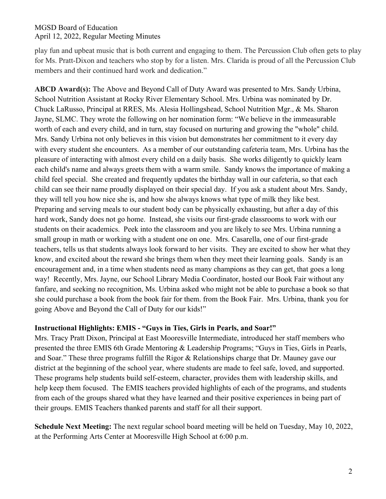play fun and upbeat music that is both current and engaging to them. The Percussion Club often gets to play for Ms. Pratt-Dixon and teachers who stop by for a listen. Mrs. Clarida is proud of all the Percussion Club members and their continued hard work and dedication."

**ABCD Award(s):** The Above and Beyond Call of Duty Award was presented to Mrs. Sandy Urbina, School Nutrition Assistant at Rocky River Elementary School. Mrs. Urbina was nominated by Dr. Chuck LaRusso, Principal at RRES, Ms. Alesia Hollingshead, School Nutrition Mgr., & Ms. Sharon Jayne, SLMC. They wrote the following on her nomination form: "We believe in the immeasurable worth of each and every child, and in turn, stay focused on nurturing and growing the "whole" child. Mrs. Sandy Urbina not only believes in this vision but demonstrates her commitment to it every day with every student she encounters. As a member of our outstanding cafeteria team, Mrs. Urbina has the pleasure of interacting with almost every child on a daily basis. She works diligently to quickly learn each child's name and always greets them with a warm smile. Sandy knows the importance of making a child feel special. She created and frequently updates the birthday wall in our cafeteria, so that each child can see their name proudly displayed on their special day. If you ask a student about Mrs. Sandy, they will tell you how nice she is, and how she always knows what type of milk they like best. Preparing and serving meals to our student body can be physically exhausting, but after a day of this hard work, Sandy does not go home. Instead, she visits our first-grade classrooms to work with our students on their academics. Peek into the classroom and you are likely to see Mrs. Urbina running a small group in math or working with a student one on one. Mrs. Casarella, one of our first-grade teachers, tells us that students always look forward to her visits. They are excited to show her what they know, and excited about the reward she brings them when they meet their learning goals. Sandy is an encouragement and, in a time when students need as many champions as they can get, that goes a long way! Recently, Mrs. Jayne, our School Library Media Coordinator, hosted our Book Fair without any fanfare, and seeking no recognition, Ms. Urbina asked who might not be able to purchase a book so that she could purchase a book from the book fair for them. from the Book Fair. Mrs. Urbina, thank you for going Above and Beyond the Call of Duty for our kids!"

### **Instructional Highlights: EMIS - "Guys in Ties, Girls in Pearls, and Soar!"**

Mrs. Tracy Pratt Dixon, Principal at East Mooresville Intermediate, introduced her staff members who presented the three EMIS 6th Grade Mentoring & Leadership Programs; "Guys in Ties, Girls in Pearls, and Soar." These three programs fulfill the Rigor & Relationships charge that Dr. Mauney gave our district at the beginning of the school year, where students are made to feel safe, loved, and supported. These programs help students build self-esteem, character, provides them with leadership skills, and help keep them focused. The EMIS teachers provided highlights of each of the programs, and students from each of the groups shared what they have learned and their positive experiences in being part of their groups. EMIS Teachers thanked parents and staff for all their support.

**Schedule Next Meeting:** The next regular school board meeting will be held on Tuesday, May 10, 2022, at the Performing Arts Center at Mooresville High School at 6:00 p.m.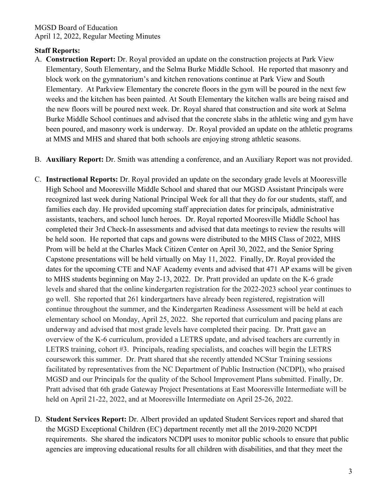# **Staff Reports:**

A. **Construction Report:** Dr. Royal provided an update on the construction projects at Park View Elementary, South Elementary, and the Selma Burke Middle School. He reported that masonry and block work on the gymnatorium's and kitchen renovations continue at Park View and South Elementary. At Parkview Elementary the concrete floors in the gym will be poured in the next few weeks and the kitchen has been painted. At South Elementary the kitchen walls are being raised and the new floors will be poured next week. Dr. Royal shared that construction and site work at Selma Burke Middle School continues and advised that the concrete slabs in the athletic wing and gym have been poured, and masonry work is underway. Dr. Royal provided an update on the athletic programs at MMS and MHS and shared that both schools are enjoying strong athletic seasons.

B. **Auxiliary Report:** Dr. Smith was attending a conference, and an Auxiliary Report was not provided.

- C. **Instructional Reports:** Dr. Royal provided an update on the secondary grade levels at Mooresville High School and Mooresville Middle School and shared that our MGSD Assistant Principals were recognized last week during National Principal Week for all that they do for our students, staff, and families each day. He provided upcoming staff appreciation dates for principals, administrative assistants, teachers, and school lunch heroes. Dr. Royal reported Mooresville Middle School has completed their 3rd Check-In assessments and advised that data meetings to review the results will be held soon. He reported that caps and gowns were distributed to the MHS Class of 2022, MHS Prom will be held at the Charles Mack Citizen Center on April 30, 2022, and the Senior Spring Capstone presentations will be held virtually on May 11, 2022. Finally, Dr. Royal provided the dates for the upcoming CTE and NAF Academy events and advised that 471 AP exams will be given to MHS students beginning on May 2-13, 2022. Dr. Pratt provided an update on the K-6 grade levels and shared that the online kindergarten registration for the 2022-2023 school year continues to go well. She reported that 261 kindergartners have already been registered, registration will continue throughout the summer, and the Kindergarten Readiness Assessment will be held at each elementary school on Monday, April 25, 2022. She reported that curriculum and pacing plans are underway and advised that most grade levels have completed their pacing. Dr. Pratt gave an overview of the K-6 curriculum, provided a LETRS update, and advised teachers are currently in LETRS training, cohort #3. Principals, reading specialists, and coaches will begin the LETRS coursework this summer. Dr. Pratt shared that she recently attended NCStar Training sessions facilitated by representatives from the NC Department of Public Instruction (NCDPI), who praised MGSD and our Principals for the quality of the School Improvement Plans submitted. Finally, Dr. Pratt advised that 6th grade Gateway Project Presentations at East Mooresville Intermediate will be held on April 21-22, 2022, and at Mooresville Intermediate on April 25-26, 2022.
- D. **Student Services Report:** Dr. Albert provided an updated Student Services report and shared that the MGSD Exceptional Children (EC) department recently met all the 2019-2020 NCDPI requirements. She shared the indicators NCDPI uses to monitor public schools to ensure that public agencies are improving educational results for all children with disabilities, and that they meet the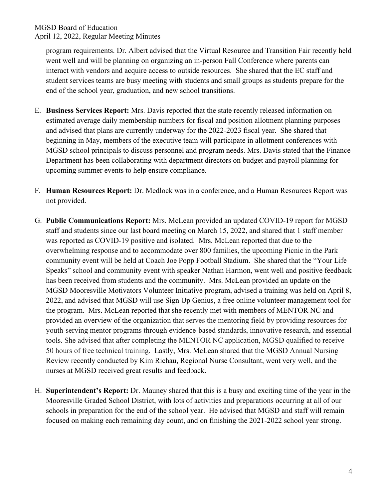program requirements. Dr. Albert advised that the Virtual Resource and Transition Fair recently held went well and will be planning on organizing an in-person Fall Conference where parents can interact with vendors and acquire access to outside resources. She shared that the EC staff and student services teams are busy meeting with students and small groups as students prepare for the end of the school year, graduation, and new school transitions.

- E. **Business Services Report:** Mrs. Davis reported that the state recently released information on estimated average daily membership numbers for fiscal and position allotment planning purposes and advised that plans are currently underway for the 2022-2023 fiscal year. She shared that beginning in May, members of the executive team will participate in allotment conferences with MGSD school principals to discuss personnel and program needs. Mrs. Davis stated that the Finance Department has been collaborating with department directors on budget and payroll planning for upcoming summer events to help ensure compliance.
- F. **Human Resources Report:** Dr. Medlock was in a conference, and a Human Resources Report was not provided.
- G. **Public Communications Report:** Mrs. McLean provided an updated COVID-19 report for MGSD staff and students since our last board meeting on March 15, 2022, and shared that 1 staff member was reported as COVID-19 positive and isolated. Mrs. McLean reported that due to the overwhelming response and to accommodate over 800 families, the upcoming Picnic in the Park community event will be held at Coach Joe Popp Football Stadium. She shared that the "Your Life Speaks" school and community event with speaker Nathan Harmon, went well and positive feedback has been received from students and the community. Mrs. McLean provided an update on the MGSD Mooresville Motivators Volunteer Initiative program, advised a training was held on April 8, 2022, and advised that MGSD will use Sign Up Genius, a free online volunteer management tool for the program. Mrs. McLean reported that she recently met with members of MENTOR NC and provided an overview of the organization that serves the mentoring field by providing resources for youth-serving mentor programs through evidence-based standards, innovative research, and essential tools. She advised that after completing the MENTOR NC application, MGSD qualified to receive 50 hours of free technical training. Lastly, Mrs. McLean shared that the MGSD Annual Nursing Review recently conducted by Kim Richau, Regional Nurse Consultant, went very well, and the nurses at MGSD received great results and feedback.
- H. **Superintendent's Report:** Dr. Mauney shared that this is a busy and exciting time of the year in the Mooresville Graded School District, with lots of activities and preparations occurring at all of our schools in preparation for the end of the school year. He advised that MGSD and staff will remain focused on making each remaining day count, and on finishing the 2021-2022 school year strong.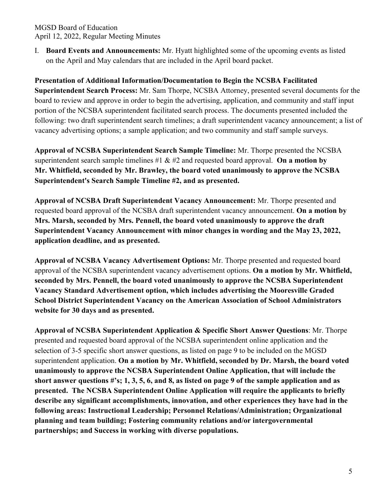I. **Board Events and Announcements:** Mr. Hyatt highlighted some of the upcoming events as listed on the April and May calendars that are included in the April board packet.

# **Presentation of Additional Information/Documentation to Begin the NCSBA Facilitated**

**Superintendent Search Process:** Mr. Sam Thorpe, NCSBA Attorney, presented several documents for the board to review and approve in order to begin the advertising, application, and community and staff input portion of the NCSBA superintendent facilitated search process. The documents presented included the following: two draft superintendent search timelines; a draft superintendent vacancy announcement; a list of vacancy advertising options; a sample application; and two community and staff sample surveys.

**Approval of NCSBA Superintendent Search Sample Timeline:** Mr. Thorpe presented the NCSBA superintendent search sample timelines  $\#1 \& \#2$  and requested board approval. **On a motion by Mr. Whitfield, seconded by Mr. Brawley, the board voted unanimously to approve the NCSBA Superintendent's Search Sample Timeline #2, and as presented.**

**Approval of NCSBA Draft Superintendent Vacancy Announcement:** Mr. Thorpe presented and requested board approval of the NCSBA draft superintendent vacancy announcement. **On a motion by Mrs. Marsh, seconded by Mrs. Pennell, the board voted unanimously to approve the draft Superintendent Vacancy Announcement with minor changes in wording and the May 23, 2022, application deadline, and as presented.**

**Approval of NCSBA Vacancy Advertisement Options:** Mr. Thorpe presented and requested board approval of the NCSBA superintendent vacancy advertisement options. **On a motion by Mr. Whitfield, seconded by Mrs. Pennell, the board voted unanimously to approve the NCSBA Superintendent Vacancy Standard Advertisement option, which includes advertising the Mooresville Graded School District Superintendent Vacancy on the American Association of School Administrators website for 30 days and as presented.**

**Approval of NCSBA Superintendent Application & Specific Short Answer Questions**: Mr. Thorpe presented and requested board approval of the NCSBA superintendent online application and the selection of 3-5 specific short answer questions, as listed on page 9 to be included on the MGSD superintendent application. **On a motion by Mr. Whitfield, seconded by Dr. Marsh, the board voted unanimously to approve the NCSBA Superintendent Online Application, that will include the short answer questions #'s; 1, 3, 5, 6, and 8, as listed on page 9 of the sample application and as presented. The NCSBA Superintendent Online Application will require the applicants to briefly describe any significant accomplishments, innovation, and other experiences they have had in the following areas: Instructional Leadership; Personnel Relations/Administration; Organizational planning and team building; Fostering community relations and/or intergovernmental partnerships; and Success in working with diverse populations.**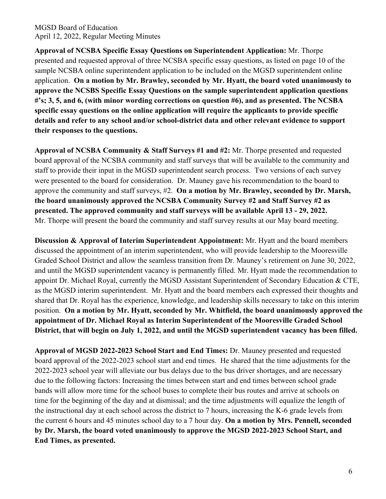**Approval of NCSBA Specific Essay Questions on Superintendent Application:** Mr. Thorpe presented and requested approval of three NCSBA specific essay questions, as listed on page 10 of the sample NCSBA online superintendent application to be included on the MGSD superintendent online application. **On a motion by Mr. Brawley, seconded by Mr. Hyatt, the board voted unanimously to approve the NCSBS Specific Essay Questions on the sample superintendent application questions #'s; 3, 5, and 6, (with minor wording corrections on question #6), and as presented. The NCSBA specific essay questions on the online application will require the applicants to provide specific details and refer to any school and/or school-district data and other relevant evidence to support their responses to the questions.** 

**Approval of NCSBA Community & Staff Surveys #1 and #2:** Mr. Thorpe presented and requested board approval of the NCSBA community and staff surveys that will be available to the community and staff to provide their input in the MGSD superintendent search process. Two versions of each survey were presented to the board for consideration. Dr. Mauney gave his recommendation to the board to approve the community and staff surveys, #2. **On a motion by Mr. Brawley, seconded by Dr. Marsh, the board unanimously approved the NCSBA Community Survey #2 and Staff Survey #2 as presented. The approved community and staff surveys will be available April 13 - 29, 2022.**  Mr. Thorpe will present the board the community and staff survey results at our May board meeting.

**Discussion & Approval of Interim Superintendent Appointment:** Mr. Hyatt and the board members discussed the appointment of an interim superintendent, who will provide leadership to the Mooresville Graded School District and allow the seamless transition from Dr. Mauney's retirement on June 30, 2022, and until the MGSD superintendent vacancy is permanently filled. Mr. Hyatt made the recommendation to appoint Dr. Michael Royal, currently the MGSD Assistant Superintendent of Secondary Education & CTE, as the MGSD interim superintendent. Mr. Hyatt and the board members each expressed their thoughts and shared that Dr. Royal has the experience, knowledge, and leadership skills necessary to take on this interim position. **On a motion by Mr. Hyatt, seconded by Mr. Whitfield, the board unanimously approved the appointment of Dr. Michael Royal as Interim Superintendent of the Mooresville Graded School District, that will begin on July 1, 2022, and until the MGSD superintendent vacancy has been filled.** 

**Approval of MGSD 2022-2023 School Start and End Times:** Dr. Mauney presented and requested board approval of the 2022-2023 school start and end times. He shared that the time adjustments for the 2022-2023 school year will alleviate our bus delays due to the bus driver shortages, and are necessary due to the following factors: Increasing the times between start and end times between school grade bands will allow more time for the school buses to complete their bus routes and arrive at schools on time for the beginning of the day and at dismissal; and the time adjustments will equalize the length of the instructional day at each school across the district to 7 hours, increasing the K-6 grade levels from the current 6 hours and 45 minutes school day to a 7 hour day. **On a motion by Mrs. Pennell, seconded by Dr. Marsh, the board voted unanimously to approve the MGSD 2022-2023 School Start, and End Times, as presented.**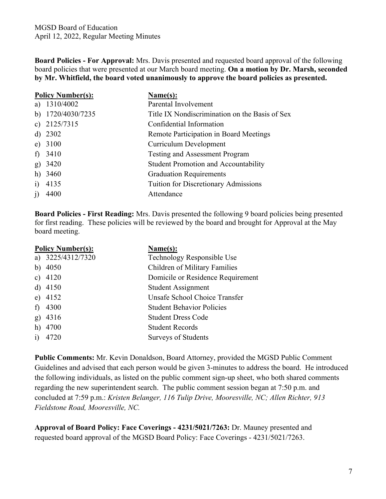**Board Policies - For Approval:** Mrs. Davis presented and requested board approval of the following board policies that were presented at our March board meeting. **On a motion by Dr. Marsh, seconded by Mr. Whitfield, the board voted unanimously to approve the board policies as presented.**

| <b>Policy Number(s):</b> |                   | Name(s):                                       |
|--------------------------|-------------------|------------------------------------------------|
|                          | a) $1310/4002$    | Parental Involvement                           |
|                          | b) 1720/4030/7235 | Title IX Nondiscrimination on the Basis of Sex |
|                          | c) $2125/7315$    | Confidential Information                       |
|                          | d) $2302$         | Remote Participation in Board Meetings         |
|                          | e) $3100$         | Curriculum Development                         |
| $\ddot{\phantom{1}}$     | 3410              | <b>Testing and Assessment Program</b>          |
| $\mathbf{g}$             | 3420              | <b>Student Promotion and Accountability</b>    |
| h)                       | 3460              | <b>Graduation Requirements</b>                 |
| 1)                       | 4135              | <b>Tuition for Discretionary Admissions</b>    |
| j)                       | 4400              | Attendance                                     |

**Board Policies - First Reading:** Mrs. Davis presented the following 9 board policies being presented for first reading. These policies will be reviewed by the board and brought for Approval at the May board meeting.

| <b>Policy Number(s):</b> |                   | Name(s):                          |
|--------------------------|-------------------|-----------------------------------|
|                          | a) 3225/4312/7320 | Technology Responsible Use        |
|                          | b) $4050$         | Children of Military Families     |
|                          | c) $4120$         | Domicile or Residence Requirement |
|                          | d) $4150$         | Student Assignment                |
|                          | e) $4152$         | Unsafe School Choice Transfer     |
| f                        | 4300              | <b>Student Behavior Policies</b>  |
|                          | g) 4316           | <b>Student Dress Code</b>         |
|                          | $h)$ 4700         | <b>Student Records</b>            |
| $\mathbf{i}$             | 4720              | <b>Surveys of Students</b>        |

**Public Comments:** Mr. Kevin Donaldson, Board Attorney, provided the MGSD Public Comment Guidelines and advised that each person would be given 3-minutes to address the board. He introduced the following individuals, as listed on the public comment sign-up sheet, who both shared comments regarding the new superintendent search. The public comment session began at 7:50 p.m. and concluded at 7:59 p.m.: *Kristen Belanger, 116 Tulip Drive, Mooresville, NC; Allen Richter, 913 Fieldstone Road, Mooresville, NC.* 

**Approval of Board Policy: Face Coverings - 4231/5021/7263:** Dr. Mauney presented and requested board approval of the MGSD Board Policy: Face Coverings - 4231/5021/7263.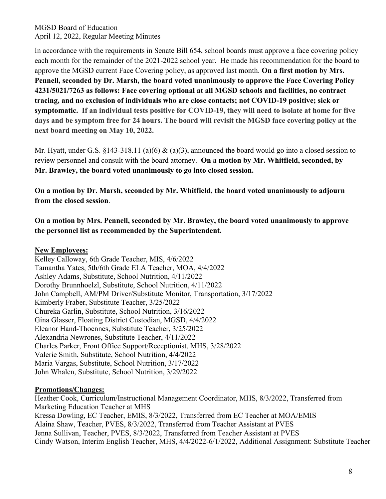In accordance with the requirements in Senate Bill 654, school boards must approve a face covering policy each month for the remainder of the 2021-2022 school year. He made his recommendation for the board to approve the MGSD current Face Covering policy, as approved last month. **On a first motion by Mrs. Pennell, seconded by Dr. Marsh, the board voted unanimously to approve the Face Covering Policy 4231/5021/7263 as follows: Face covering optional at all MGSD schools and facilities, no contract tracing, and no exclusion of individuals who are close contacts; not COVID-19 positive; sick or symptomatic. If an individual tests positive for COVID-19, they will need to isolate at home for five days and be symptom free for 24 hours. The board will revisit the MGSD face covering policy at the next board meeting on May 10, 2022.**

Mr. Hyatt, under G.S. §143-318.11 (a)(6) & (a)(3), announced the board would go into a closed session to review personnel and consult with the board attorney. **On a motion by Mr. Whitfield, seconded, by Mr. Brawley, the board voted unanimously to go into closed session.**

**On a motion by Dr. Marsh, seconded by Mr. Whitfield, the board voted unanimously to adjourn from the closed session**.

**On a motion by Mrs. Pennell, seconded by Mr. Brawley, the board voted unanimously to approve the personnel list as recommended by the Superintendent.**

#### **New Employees:**

Kelley Calloway, 6th Grade Teacher, MIS, 4/6/2022 Tamantha Yates, 5th/6th Grade ELA Teacher, MOA, 4/4/2022 Ashley Adams, Substitute, School Nutrition, 4/11/2022 Dorothy Brunnhoelzl, Substitute, School Nutrition, 4/11/2022 John Campbell, AM/PM Driver/Substitute Monitor, Transportation, 3/17/2022 Kimberly Fraber, Substitute Teacher, 3/25/2022 Chureka Garlin, Substitute, School Nutrition, 3/16/2022 Gina Glasser, Floating District Custodian, MGSD, 4/4/2022 Eleanor Hand-Thoennes, Substitute Teacher, 3/25/2022 Alexandria Newrones, Substitute Teacher, 4/11/2022 Charles Parker, Front Office Support/Receptionist, MHS, 3/28/2022 Valerie Smith, Substitute, School Nutrition, 4/4/2022 Maria Vargas, Substitute, School Nutrition, 3/17/2022 John Whalen, Substitute, School Nutrition, 3/29/2022

### **Promotions/Changes:**

Heather Cook, Curriculum/Instructional Management Coordinator, MHS, 8/3/2022, Transferred from Marketing Education Teacher at MHS Kressa Dowling, EC Teacher, EMIS, 8/3/2022, Transferred from EC Teacher at MOA/EMIS Alaina Shaw, Teacher, PVES, 8/3/2022, Transferred from Teacher Assistant at PVES Jenna Sullivan, Teacher, PVES, 8/3/2022, Transferred from Teacher Assistant at PVES Cindy Watson, Interim English Teacher, MHS, 4/4/2022-6/1/2022, Additional Assignment: Substitute Teacher